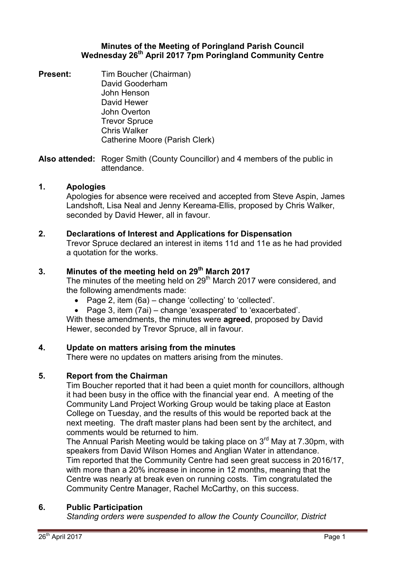### **Minutes of the Meeting of Poringland Parish Council Wednesday 26th April 2017 7pm Poringland Community Centre**

**Present:** Tim Boucher (Chairman) David Gooderham John Henson David Hewer John Overton Trevor Spruce Chris Walker Catherine Moore (Parish Clerk)

**Also attended:** Roger Smith (County Councillor) and 4 members of the public in attendance.

### **1. Apologies**

Apologies for absence were received and accepted from Steve Aspin, James Landshoft, Lisa Neal and Jenny Kereama-Ellis, proposed by Chris Walker, seconded by David Hewer, all in favour.

#### **2. Declarations of Interest and Applications for Dispensation**

Trevor Spruce declared an interest in items 11d and 11e as he had provided a quotation for the works.

# **3. Minutes of the meeting held on 29th March 2017**

The minutes of the meeting held on 29<sup>th</sup> March 2017 were considered, and the following amendments made:

- Page 2, item  $(6a)$  change 'collecting' to 'collected'.
- Page 3, item (7ai) change 'exasperated' to 'exacerbated'.

With these amendments, the minutes were **agreed**, proposed by David Hewer, seconded by Trevor Spruce, all in favour.

### **4. Update on matters arising from the minutes**

There were no updates on matters arising from the minutes.

### **5. Report from the Chairman**

Tim Boucher reported that it had been a quiet month for councillors, although it had been busy in the office with the financial year end. A meeting of the Community Land Project Working Group would be taking place at Easton College on Tuesday, and the results of this would be reported back at the next meeting. The draft master plans had been sent by the architect, and comments would be returned to him.

The Annual Parish Meeting would be taking place on 3<sup>rd</sup> May at 7.30pm, with speakers from David Wilson Homes and Anglian Water in attendance. Tim reported that the Community Centre had seen great success in 2016/17, with more than a 20% increase in income in 12 months, meaning that the Centre was nearly at break even on running costs. Tim congratulated the Community Centre Manager, Rachel McCarthy, on this success.

### **6. Public Participation**

*Standing orders were suspended to allow the County Councillor, District*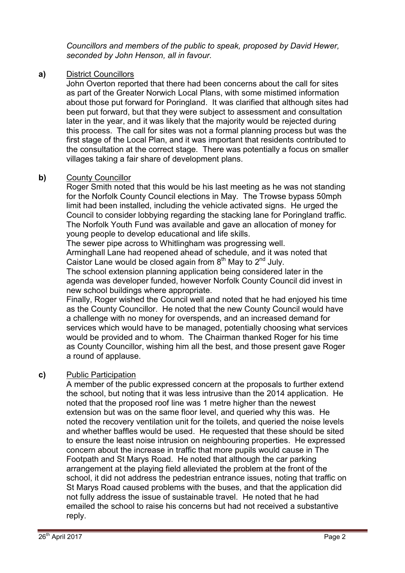*Councillors and members of the public to speak, proposed by David Hewer, seconded by John Henson, all in favour.* 

## **a)** District Councillors

John Overton reported that there had been concerns about the call for sites as part of the Greater Norwich Local Plans, with some mistimed information about those put forward for Poringland. It was clarified that although sites had been put forward, but that they were subject to assessment and consultation later in the year, and it was likely that the majority would be rejected during this process. The call for sites was not a formal planning process but was the first stage of the Local Plan, and it was important that residents contributed to the consultation at the correct stage. There was potentially a focus on smaller villages taking a fair share of development plans.

# **b)** County Councillor

Roger Smith noted that this would be his last meeting as he was not standing for the Norfolk County Council elections in May. The Trowse bypass 50mph limit had been installed, including the vehicle activated signs. He urged the Council to consider lobbying regarding the stacking lane for Poringland traffic. The Norfolk Youth Fund was available and gave an allocation of money for young people to develop educational and life skills.

The sewer pipe across to Whitlingham was progressing well.

Arminghall Lane had reopened ahead of schedule, and it was noted that Caistor Lane would be closed again from  $8<sup>th</sup>$  May to  $2<sup>nd</sup>$  July.

The school extension planning application being considered later in the agenda was developer funded, however Norfolk County Council did invest in new school buildings where appropriate.

Finally, Roger wished the Council well and noted that he had enjoyed his time as the County Councillor. He noted that the new County Council would have a challenge with no money for overspends, and an increased demand for services which would have to be managed, potentially choosing what services would be provided and to whom. The Chairman thanked Roger for his time as County Councillor, wishing him all the best, and those present gave Roger a round of applause.

# **c)** Public Participation

A member of the public expressed concern at the proposals to further extend the school, but noting that it was less intrusive than the 2014 application. He noted that the proposed roof line was 1 metre higher than the newest extension but was on the same floor level, and queried why this was. He noted the recovery ventilation unit for the toilets, and queried the noise levels and whether baffles would be used. He requested that these should be sited to ensure the least noise intrusion on neighbouring properties. He expressed concern about the increase in traffic that more pupils would cause in The Footpath and St Marys Road. He noted that although the car parking arrangement at the playing field alleviated the problem at the front of the school, it did not address the pedestrian entrance issues, noting that traffic on St Marys Road caused problems with the buses, and that the application did not fully address the issue of sustainable travel. He noted that he had emailed the school to raise his concerns but had not received a substantive reply.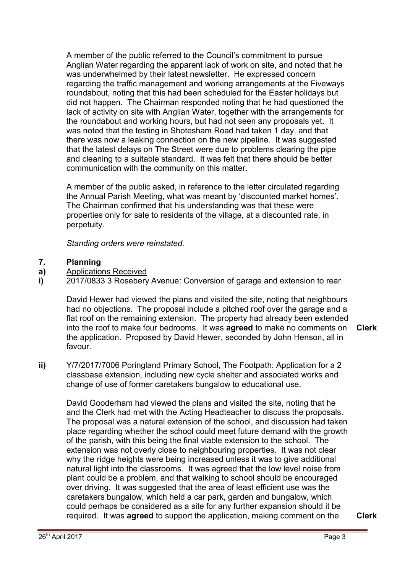A member of the public referred to the Council's commitment to pursue Anglian Water regarding the apparent lack of work on site, and noted that he was underwhelmed by their latest newsletter. He expressed concern regarding the traffic management and working arrangements at the Fiveways roundabout, noting that this had been scheduled for the Easter holidays but did not happen. The Chairman responded noting that he had questioned the lack of activity on site with Anglian Water, together with the arrangements for the roundabout and working hours, but had not seen any proposals yet. It was noted that the testing in Shotesham Road had taken 1 day, and that there was now a leaking connection on the new pipeline. It was suggested that the latest delays on The Street were due to problems clearing the pipe and cleaning to a suitable standard. It was felt that there should be better communication with the community on this matter.

A member of the public asked, in reference to the letter circulated regarding the Annual Parish Meeting, what was meant by 'discounted market homes'. The Chairman confirmed that his understanding was that these were properties only for sale to residents of the village, at a discounted rate, in perpetuity.

*Standing orders were reinstated.* 

#### **7. Planning**

- **a)**  Applications Received
- **i)**  2017/0833 3 Rosebery Avenue: Conversion of garage and extension to rear.

David Hewer had viewed the plans and visited the site, noting that neighbours had no objections. The proposal include a pitched roof over the garage and a flat roof on the remaining extension. The property had already been extended into the roof to make four bedrooms. It was **agreed** to make no comments on the application. Proposed by David Hewer, seconded by John Henson, all in favour. **Clerk**

**ii)** Y/7/2017/7006 Poringland Primary School, The Footpath: Application for a 2 classbase extension, including new cycle shelter and associated works and

change of use of former caretakers bungalow to educational use.

David Gooderham had viewed the plans and visited the site, noting that he and the Clerk had met with the Acting Headteacher to discuss the proposals. The proposal was a natural extension of the school, and discussion had taken place regarding whether the school could meet future demand with the growth of the parish, with this being the final viable extension to the school. The extension was not overly close to neighbouring properties. It was not clear why the ridge heights were being increased unless it was to give additional natural light into the classrooms. It was agreed that the low level noise from plant could be a problem, and that walking to school should be encouraged over driving. It was suggested that the area of least efficient use was the caretakers bungalow, which held a car park, garden and bungalow, which could perhaps be considered as a site for any further expansion should it be required. It was **agreed** to support the application, making comment on the **Clerk**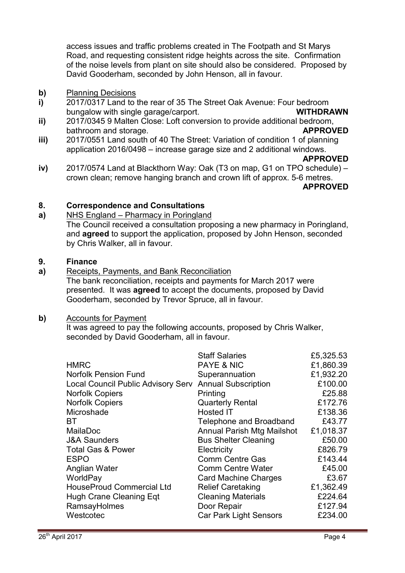access issues and traffic problems created in The Footpath and St Marys Road, and requesting consistent ridge heights across the site. Confirmation of the noise levels from plant on site should also be considered. Proposed by David Gooderham, seconded by John Henson, all in favour.

- **b)** Planning Decisions
- **i)**  2017/0317 Land to the rear of 35 The Street Oak Avenue: Four bedroom bungalow with single garage/carport. **WITHDRAWN**
- **ii)**  2017/0345 9 Malten Close: Loft conversion to provide additional bedroom, bathroom and storage. **APPROVED**
- **iii)**  2017/0551 Land south of 40 The Street: Variation of condition 1 of planning application 2016/0498 – increase garage size and 2 additional windows.

#### **APPROVED**

**iv)**  2017/0574 Land at Blackthorn Way: Oak (T3 on map, G1 on TPO schedule) – crown clean; remove hanging branch and crown lift of approx. 5-6 metres.

#### **APPROVED**

#### **8. Correspondence and Consultations**

#### **a)**  NHS England – Pharmacy in Poringland

The Council received a consultation proposing a new pharmacy in Poringland, and **agreed** to support the application, proposed by John Henson, seconded by Chris Walker, all in favour.

#### **9. Finance**

**a)**  Receipts, Payments, and Bank Reconciliation

The bank reconciliation, receipts and payments for March 2017 were presented. It was **agreed** to accept the documents, proposed by David Gooderham, seconded by Trevor Spruce, all in favour.

### **b)** Accounts for Payment

It was agreed to pay the following accounts, proposed by Chris Walker, seconded by David Gooderham, all in favour.

|                                           | <b>Staff Salaries</b>         | £5,325.53 |
|-------------------------------------------|-------------------------------|-----------|
| <b>HMRC</b>                               | <b>PAYE &amp; NIC</b>         | £1,860.39 |
| <b>Norfolk Pension Fund</b>               | Superannuation                | £1,932.20 |
| <b>Local Council Public Advisory Serv</b> | <b>Annual Subscription</b>    | £100.00   |
| <b>Norfolk Copiers</b>                    | Printing                      | £25.88    |
| <b>Norfolk Copiers</b>                    | <b>Quarterly Rental</b>       | £172.76   |
| Microshade                                | <b>Hosted IT</b>              | £138.36   |
| BТ                                        | Telephone and Broadband       | £43.77    |
| MailaDoc                                  | Annual Parish Mtg Mailshot    | £1,018.37 |
| <b>J&amp;A Saunders</b>                   | <b>Bus Shelter Cleaning</b>   | £50.00    |
| <b>Total Gas &amp; Power</b>              | Electricity                   | £826.79   |
| <b>ESPO</b>                               | <b>Comm Centre Gas</b>        | £143.44   |
| Anglian Water                             | <b>Comm Centre Water</b>      | £45.00    |
| WorldPay                                  | <b>Card Machine Charges</b>   | £3.67     |
| <b>HouseProud Commercial Ltd</b>          | <b>Relief Caretaking</b>      | £1,362.49 |
| Hugh Crane Cleaning Eqt                   | <b>Cleaning Materials</b>     | £224.64   |
| RamsayHolmes                              | Door Repair                   | £127.94   |
| Westcotec                                 | <b>Car Park Light Sensors</b> | £234.00   |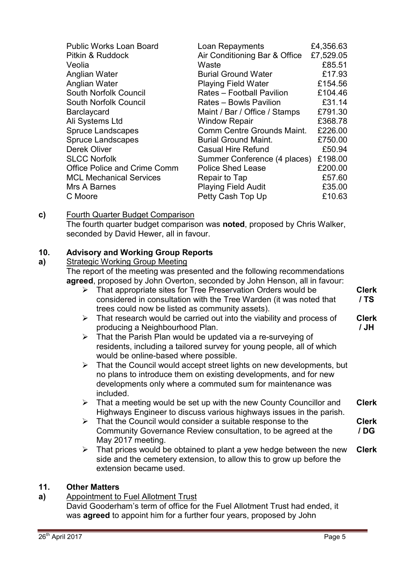| <b>Public Works Loan Board</b> | Loan Repayments               | £4,356.63 |
|--------------------------------|-------------------------------|-----------|
| Pitkin & Ruddock               | Air Conditioning Bar & Office | £7,529.05 |
| Veolia                         | Waste                         | £85.51    |
| Anglian Water                  | <b>Burial Ground Water</b>    | £17.93    |
| Anglian Water                  | <b>Playing Field Water</b>    | £154.56   |
| South Norfolk Council          | Rates - Football Pavilion     | £104.46   |
| South Norfolk Council          | Rates - Bowls Pavilion        | £31.14    |
| <b>Barclaycard</b>             | Maint / Bar / Office / Stamps | £791.30   |
| Ali Systems Ltd                | <b>Window Repair</b>          | £368.78   |
| <b>Spruce Landscapes</b>       | Comm Centre Grounds Maint.    | £226.00   |
| <b>Spruce Landscapes</b>       | <b>Burial Ground Maint.</b>   | £750.00   |
| <b>Derek Oliver</b>            | <b>Casual Hire Refund</b>     | £50.94    |
| <b>SLCC Norfolk</b>            | Summer Conference (4 places)  | £198.00   |
| Office Police and Crime Comm   | <b>Police Shed Lease</b>      | £200.00   |
| <b>MCL Mechanical Services</b> | Repair to Tap                 | £57.60    |
| Mrs A Barnes                   | <b>Playing Field Audit</b>    | £35.00    |
| C Moore                        | Petty Cash Top Up             | £10.63    |

**c)** Fourth Quarter Budget Comparison The fourth quarter budget comparison was **noted**, proposed by Chris Walker, seconded by David Hewer, all in favour.

#### **10. Advisory and Working Group Reports**

#### **a)**  Strategic Working Group Meeting

The report of the meeting was presented and the following recommendations **agreed**, proposed by John Overton, seconded by John Henson, all in favour:

- $\triangleright$  That appropriate sites for Tree Preservation Orders would be considered in consultation with the Tree Warden (it was noted that trees could now be listed as community assets). **Clerk / TS**
- $\triangleright$  That research would be carried out into the viability and process of producing a Neighbourhood Plan. **Clerk / JH**
- $\triangleright$  That the Parish Plan would be updated via a re-surveying of residents, including a tailored survey for young people, all of which would be online-based where possible.
- $\triangleright$  That the Council would accept street lights on new developments, but no plans to introduce them on existing developments, and for new developments only where a commuted sum for maintenance was included.
- $\triangleright$  That a meeting would be set up with the new County Councillor and Highways Engineer to discuss various highways issues in the parish. **Clerk**
- $\triangleright$  That the Council would consider a suitable response to the Community Governance Review consultation, to be agreed at the May 2017 meeting. **Clerk / DG**
- $\triangleright$  That prices would be obtained to plant a yew hedge between the new side and the cemetery extension, to allow this to grow up before the extension became used. **Clerk**

### **11. Other Matters**

**a)** Appointment to Fuel Allotment Trust

David Gooderham's term of office for the Fuel Allotment Trust had ended, it was **agreed** to appoint him for a further four years, proposed by John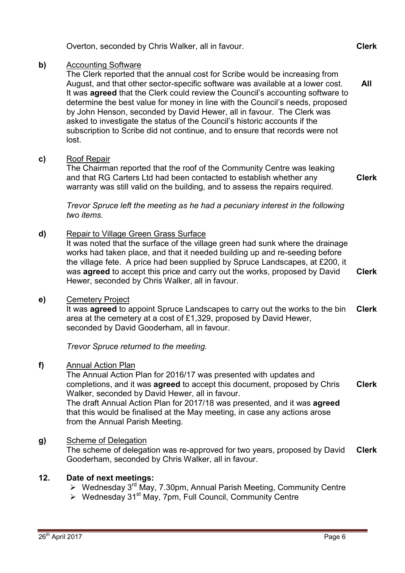|    | Overton, seconded by Chris Walker, all in favour.                                                                                                                                                                                                                                                                                                                                                                                                                                                                                                                                                             | <b>Clerk</b> |
|----|---------------------------------------------------------------------------------------------------------------------------------------------------------------------------------------------------------------------------------------------------------------------------------------------------------------------------------------------------------------------------------------------------------------------------------------------------------------------------------------------------------------------------------------------------------------------------------------------------------------|--------------|
| b) | <b>Accounting Software</b><br>The Clerk reported that the annual cost for Scribe would be increasing from<br>August, and that other sector-specific software was available at a lower cost.<br>It was agreed that the Clerk could review the Council's accounting software to<br>determine the best value for money in line with the Council's needs, proposed<br>by John Henson, seconded by David Hewer, all in favour. The Clerk was<br>asked to investigate the status of the Council's historic accounts if the<br>subscription to Scribe did not continue, and to ensure that records were not<br>lost. | <b>All</b>   |
| c) | <b>Roof Repair</b><br>The Chairman reported that the roof of the Community Centre was leaking<br>and that RG Carters Ltd had been contacted to establish whether any<br>warranty was still valid on the building, and to assess the repairs required.                                                                                                                                                                                                                                                                                                                                                         | <b>Clerk</b> |
|    | Trevor Spruce left the meeting as he had a pecuniary interest in the following<br>two items.                                                                                                                                                                                                                                                                                                                                                                                                                                                                                                                  |              |
| d) | <b>Repair to Village Green Grass Surface</b><br>It was noted that the surface of the village green had sunk where the drainage<br>works had taken place, and that it needed building up and re-seeding before<br>the village fete. A price had been supplied by Spruce Landscapes, at £200, it<br>was agreed to accept this price and carry out the works, proposed by David<br>Hewer, seconded by Chris Walker, all in favour.                                                                                                                                                                               | <b>Clerk</b> |
| e) | <b>Cemetery Project</b><br>It was agreed to appoint Spruce Landscapes to carry out the works to the bin<br>area at the cemetery at a cost of £1,329, proposed by David Hewer,<br>seconded by David Gooderham, all in favour.                                                                                                                                                                                                                                                                                                                                                                                  | <b>Clerk</b> |
|    | Trevor Spruce returned to the meeting.                                                                                                                                                                                                                                                                                                                                                                                                                                                                                                                                                                        |              |
| f) | <b>Annual Action Plan</b><br>The Annual Action Plan for 2016/17 was presented with updates and<br>completions, and it was agreed to accept this document, proposed by Chris<br>Walker, seconded by David Hewer, all in favour.<br>The draft Annual Action Plan for 2017/18 was presented, and it was agreed<br>that this would be finalised at the May meeting, in case any actions arose<br>from the Annual Parish Meeting.                                                                                                                                                                                  | <b>Clerk</b> |
| g) | <b>Scheme of Delegation</b><br>The scheme of delegation was re-approved for two years, proposed by David<br>Gooderham, seconded by Chris Walker, all in favour.                                                                                                                                                                                                                                                                                                                                                                                                                                               | <b>Clerk</b> |
|    |                                                                                                                                                                                                                                                                                                                                                                                                                                                                                                                                                                                                               |              |

# **12. Date of next meetings:**

- $\triangleright$  Wednesday 3<sup>rd</sup> May, 7.30pm, Annual Parish Meeting, Community Centre
- ▶ Wednesday 31<sup>st</sup> May, 7pm, Full Council, Community Centre

**c)** Roof Repair